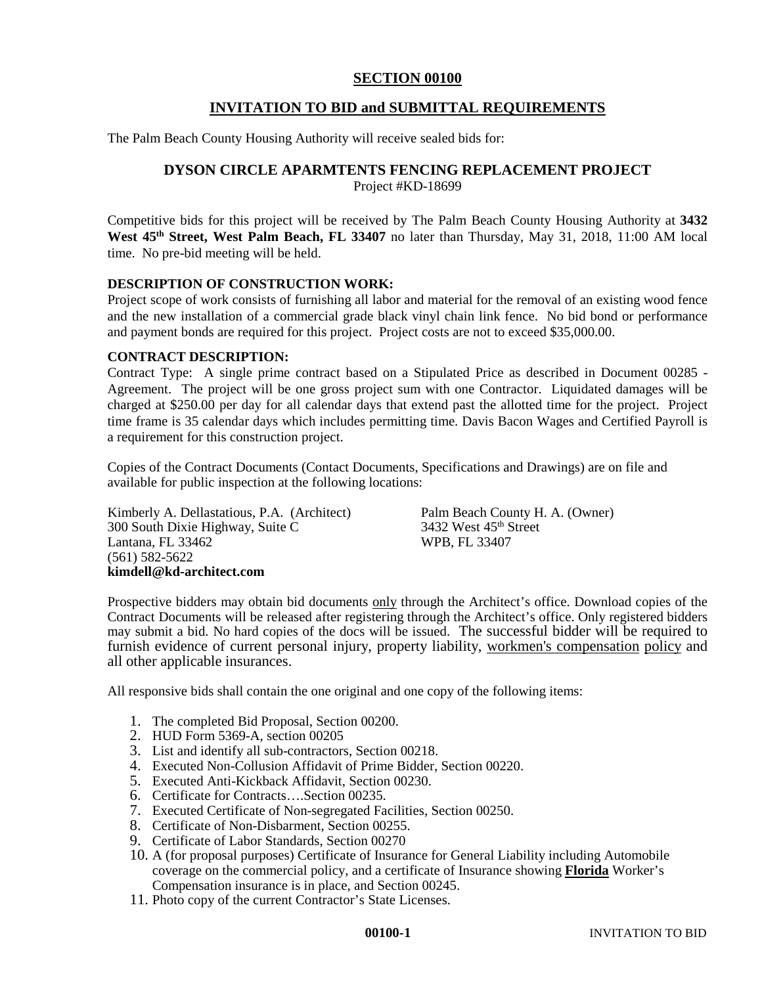## **SECTION 00100**

## **INVITATION TO BID and SUBMITTAL REQUIREMENTS**

The Palm Beach County Housing Authority will receive sealed bids for:

# **DYSON CIRCLE APARMTENTS FENCING REPLACEMENT PROJECT**

Project #KD-18699

Competitive bids for this project will be received by The Palm Beach County Housing Authority at **3432 West 45th Street, West Palm Beach, FL 33407** no later than Thursday, May 31, 2018, 11:00 AM local time. No pre-bid meeting will be held.

### **DESCRIPTION OF CONSTRUCTION WORK:**

Project scope of work consists of furnishing all labor and material for the removal of an existing wood fence and the new installation of a commercial grade black vinyl chain link fence. No bid bond or performance and payment bonds are required for this project. Project costs are not to exceed \$35,000.00.

#### **CONTRACT DESCRIPTION:**

Contract Type: A single prime contract based on a Stipulated Price as described in Document 00285 - Agreement. The project will be one gross project sum with one Contractor. Liquidated damages will be charged at \$250.00 per day for all calendar days that extend past the allotted time for the project. Project time frame is 35 calendar days which includes permitting time. Davis Bacon Wages and Certified Payroll is a requirement for this construction project.

Copies of the Contract Documents (Contact Documents, Specifications and Drawings) are on file and available for public inspection at the following locations:

Kimberly A. Dellastatious, P.A. (Architect) Palm Beach County H. A. (Owner) 300 South Dixie Highway, Suite C 3432 West  $45^{th}$  Street 300 South Dixie Highway, Suite C<br>
Lantana, FL 33462<br>
WPB, FL 33407 Lantana, FL  $33462$ (561) 582-5622 **kimdell@kd-architect.com**

Prospective bidders may obtain bid documents only through the Architect's office. Download copies of the Contract Documents will be released after registering through the Architect's office. Only registered bidders may submit a bid. No hard copies of the docs will be issued. The successful bidder will be required to furnish evidence of current personal injury, property liability, workmen's compensation policy and all other applicable insurances.

All responsive bids shall contain the one original and one copy of the following items:

- 1. The completed Bid Proposal, Section 00200.
- 2. HUD Form 5369-A, section 00205
- 3. List and identify all sub-contractors, Section 00218.
- 4. Executed Non-Collusion Affidavit of Prime Bidder, Section 00220.
- 5. Executed Anti-Kickback Affidavit, Section 00230.
- 6. Certificate for Contracts….Section 00235.
- 7. Executed Certificate of Non-segregated Facilities, Section 00250.
- 8. Certificate of Non-Disbarment, Section 00255.
- 9. Certificate of Labor Standards, Section 00270
- 10. A (for proposal purposes) Certificate of Insurance for General Liability including Automobile coverage on the commercial policy, and a certificate of Insurance showing **Florida** Worker's Compensation insurance is in place, and Section 00245.
- 11. Photo copy of the current Contractor's State Licenses.